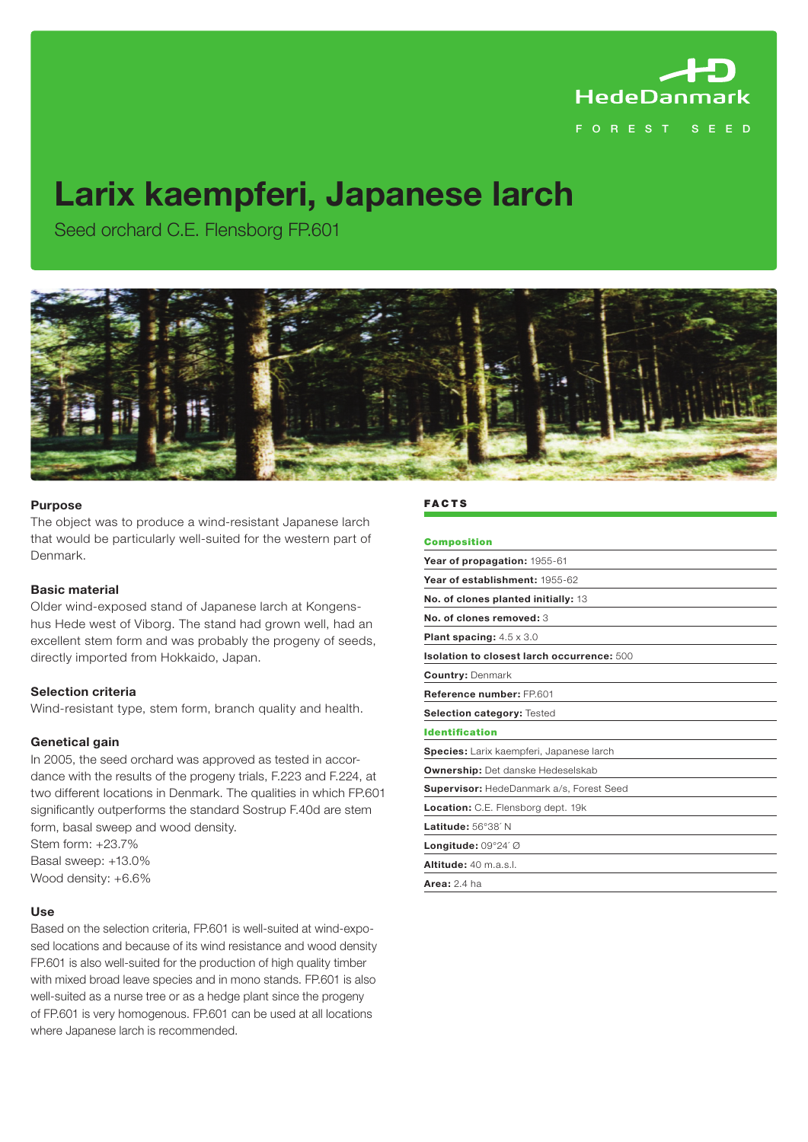

# F O R E S T S E E D

# **Larix kaempferi, Japanese larch**

Seed orchard C.E. Flensborg FP.601



#### **Purpose**

The object was to produce a wind-resistant Japanese larch that would be particularly well-suited for the western part of Denmark.

#### **Basic material**

Older wind-exposed stand of Japanese larch at Kongenshus Hede west of Viborg. The stand had grown well, had an excellent stem form and was probably the progeny of seeds, directly imported from Hokkaido, Japan.

#### **Selection criteria**

Wind-resistant type, stem form, branch quality and health.

#### **Genetical gain**

In 2005, the seed orchard was approved as tested in accordance with the results of the progeny trials, F.223 and F.224, at two different locations in Denmark. The qualities in which FP.601 significantly outperforms the standard Sostrup F.40d are stem form, basal sweep and wood density.

Stem form: +23.7% Basal sweep: +13.0% Wood density: +6.6%

#### **Use**

Based on the selection criteria, FP.601 is well-suited at wind-exposed locations and because of its wind resistance and wood density FP.601 is also well-suited for the production of high quality timber with mixed broad leave species and in mono stands. FP.601 is also well-suited as a nurse tree or as a hedge plant since the progeny of FP.601 is very homogenous. FP.601 can be used at all locations where Japanese larch is recommended.

## **FACTS**

| <b>Composition</b>                              |
|-------------------------------------------------|
| Year of propagation: 1955-61                    |
| Year of establishment: 1955-62                  |
| No. of clones planted initially: 13             |
| No. of clones removed: 3                        |
| <b>Plant spacing:</b> $4.5 \times 3.0$          |
| Isolation to closest larch occurrence: 500      |
| <b>Country: Denmark</b>                         |
| Reference number: FP 601                        |
| Selection category: Tested                      |
| <b>Identification</b>                           |
| Species: Larix kaempferi, Japanese larch        |
| <b>Ownership:</b> Det danske Hedeselskab        |
| <b>Supervisor:</b> HedeDanmark a/s, Forest Seed |
| Location: C.E. Flensborg dept. 19k              |
| Latitude: 56°38' N                              |
| Longitude: 09°24' Ø                             |
| Altitude: 40 m.a.s.l.                           |
| Area: $2.4$ ha                                  |